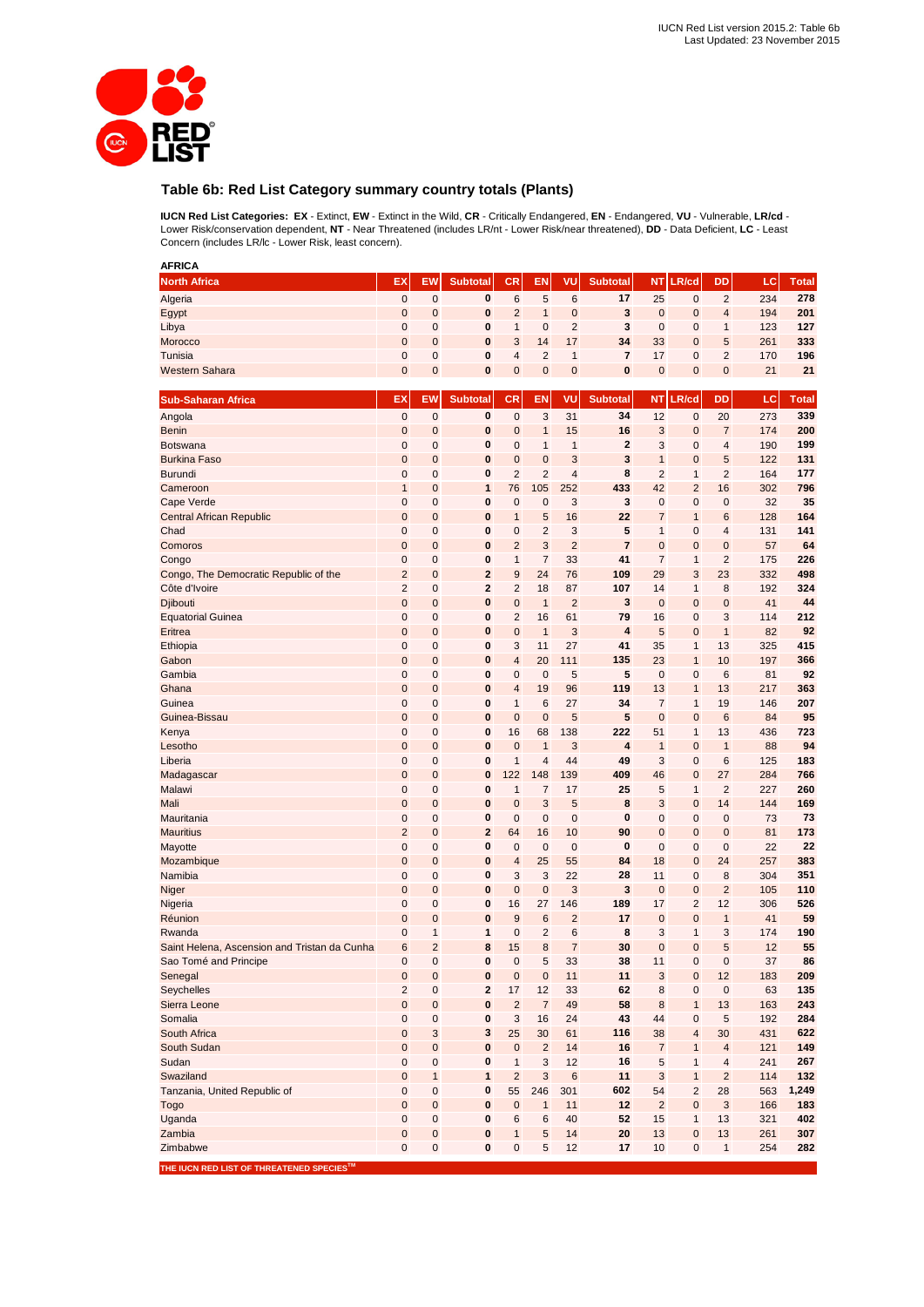

## **Table 6b: Red List Category summary country totals (Plants)**

**IUCN Red List Categories: EX** - Extinct, **EW** - Extinct in the Wild, **CR** - Critically Endangered, **EN** - Endangered, **VU** - Vulnerable, **LR/cd** - Lower Risk/conservation dependent, **NT** - Near Threatened (includes LR/nt - Lower Risk/near threatened), **DD** - Data Deficient, **LC** - Least Concern (includes LR/lc - Lower Risk, least concern).

| <b>AFRICA</b>                                                         |                |                     |                         |                |                     |                     |                         |                  |                  |                         |           |              |
|-----------------------------------------------------------------------|----------------|---------------------|-------------------------|----------------|---------------------|---------------------|-------------------------|------------------|------------------|-------------------------|-----------|--------------|
| <b>North Africa</b>                                                   | EX             | EW                  | <b>Subtotal</b>         | <b>CR</b>      | EN                  | VU                  | <b>Subtotal</b>         | NT.              | LR/cd            | DD                      | LC        | <b>Total</b> |
| Algeria                                                               | $\mathbf 0$    | $\mathbf 0$         | 0                       | 6              | 5                   | 6                   | 17                      | 25               | $\pmb{0}$        | $\overline{2}$          | 234       | 278          |
| Egypt                                                                 | $\mathbf 0$    | $\mathbf{0}$        | $\pmb{0}$               | $\overline{2}$ | $\mathbf{1}$        | $\mathbf 0$         | 3                       | $\mathbf 0$      | $\mathbf 0$      | 4                       | 194       | 201          |
| Libya                                                                 | 0              | $\mathbf 0$         | 0                       | $\mathbf{1}$   | $\mathbf 0$         | $\overline{2}$      | 3                       | $\mathbf 0$      | $\mathbf{0}$     | 1                       | 123       | 127          |
| Morocco                                                               | $\mathbf 0$    | $\mathbf 0$         | $\pmb{0}$               | 3              | 14                  | 17                  | 34                      | 33               | $\mathbf 0$      | 5                       | 261       | 333          |
| Tunisia                                                               | 0              | $\mathbf 0$         | 0                       | 4              | $\overline{2}$      | $\mathbf{1}$        | 7                       | 17               | $\mathbf 0$      | $\overline{2}$          | 170       | 196          |
| <b>Western Sahara</b>                                                 | $\mathbf 0$    | $\mathbf 0$         | $\pmb{0}$               | $\mathbf 0$    | $\mathbf 0$         | $\mathbf 0$         | 0                       | $\pmb{0}$        | $\pmb{0}$        | 0                       | 21        | 21           |
| <b>Sub-Saharan Africa</b>                                             | EX             | EW                  | <b>Subtotal</b>         | <b>CR</b>      | EN                  | VU                  | <b>Subtotal</b>         | <b>NT</b>        | LR/cd            | <b>DD</b>               | LC        | <b>Total</b> |
| Angola                                                                | $\mathbf 0$    | $\mathbf 0$         | 0                       | $\mathbf 0$    | 3                   | 31                  | 34                      | 12               | $\pmb{0}$        | 20                      | 273       | 339          |
| <b>Benin</b>                                                          | $\mathbf 0$    | $\mathbf 0$         | $\pmb{0}$               | $\mathbf 0$    | 1                   | 15                  | 16                      | 3                | $\mathbf{0}$     | 7                       | 174       | 200          |
| Botswana                                                              | $\mathbf 0$    | $\mathbf 0$         | $\bf{0}$                | $\mathbf 0$    | $\mathbf{1}$        | $\mathbf{1}$        | $\overline{2}$          | 3                | $\mathbf 0$      | 4                       | 190       | 199          |
| <b>Burkina Faso</b>                                                   | $\mathbf 0$    | $\mathbf{0}$        | $\bf{0}$                | $\mathbf 0$    | $\mathbf 0$         | 3                   | 3                       | $\mathbf{1}$     | $\mathbf{0}$     | 5                       | 122       | 131          |
| <b>Burundi</b>                                                        | 0              | 0                   | $\bf{0}$                | $\overline{2}$ | $\overline{2}$      | $\overline{4}$      | 8                       | $\overline{2}$   | $\mathbf{1}$     | $\overline{2}$          | 164       | 177          |
| Cameroon                                                              | 1              | $\mathbf 0$         | $\mathbf{1}$            | 76             | 105                 | 252                 | 433                     | 42               | $\overline{2}$   | 16                      | 302       | 796          |
| Cape Verde                                                            | 0              | $\mathbf 0$         | 0                       | 0              | 0                   | 3                   | 3                       | 0                | $\pmb{0}$        | 0                       | 32        | 35           |
| <b>Central African Republic</b>                                       | $\mathbf 0$    | $\mathbf 0$         | $\pmb{0}$               | $\mathbf{1}$   | 5                   | 16                  | 22                      | $\overline{7}$   | $\mathbf{1}$     | 6                       | 128       | 164          |
| Chad                                                                  | 0              | $\mathbf 0$         | 0                       | $\mathbf 0$    | $\overline{2}$      | 3                   | 5                       | $\mathbf{1}$     | $\mathbf 0$      | 4                       | 131       | 141          |
| Comoros                                                               | $\mathbf{0}$   | $\mathbf 0$         | $\pmb{0}$               | $\overline{2}$ | 3                   | $\overline{2}$      | $\overline{7}$          | $\mathbf 0$      | $\mathbf 0$      | 0                       | 57        | 64           |
| Congo                                                                 | $\mathbf 0$    | $\mathbf 0$         | 0                       | $\mathbf{1}$   | $\overline{7}$      | 33                  | 41                      | $\overline{7}$   | 1                | $\overline{\mathbf{c}}$ | 175       | 226          |
| Congo, The Democratic Republic of the                                 | $\overline{2}$ | $\mathbf 0$         | $\overline{\mathbf{2}}$ | 9              | 24                  | 76                  | 109                     | 29               | 3                | 23                      | 332       | 498          |
| Côte d'Ivoire                                                         | $\overline{2}$ | $\mathbf 0$         | $\mathbf{2}$            | $\overline{2}$ | 18                  | 87                  | 107                     | 14               | 1                | 8                       | 192       | 324          |
| <b>Diibouti</b>                                                       | 0              | $\mathbf 0$         | $\pmb{0}$               | $\mathbf 0$    | $\mathbf{1}$        | $\overline{2}$      | 3                       | $\mathbf 0$      | $\mathbf 0$      | 0                       | 41        | 44           |
| <b>Equatorial Guinea</b>                                              | 0              | $\mathbf 0$         | 0                       | $\overline{2}$ | 16                  | 61                  | 79                      | 16               | $\mathbf{0}$     | 3                       | 114       | 212          |
| Eritrea                                                               | $\mathbf 0$    | $\overline{0}$      | $\mathbf{0}$            | $\mathbf 0$    | $\mathbf{1}$        | 3                   | $\overline{\mathbf{4}}$ | 5                | $\mathbf{0}$     | 1                       | 82        | 92           |
| Ethiopia                                                              | 0              | $\mathbf 0$         | $\bf{0}$                | 3              | 11                  | 27                  | 41                      | 35               | 1                | 13                      | 325       | 415          |
| Gabon                                                                 | 0              | $\mathbf 0$         | $\bf{0}$                | $\overline{4}$ | 20                  | 111                 | 135                     | 23               | $\mathbf{1}$     | 10                      | 197       | 366          |
| Gambia                                                                | 0              | $\mathbf 0$         | 0                       | 0              | $\mathbf 0$         | 5                   | 5                       | 0                | $\pmb{0}$        | 6                       | 81        | 92           |
| Ghana                                                                 | $\mathbf 0$    | $\mathbf 0$         | $\pmb{0}$               | $\overline{4}$ | 19                  | 96                  | 119                     | 13               | $\mathbf{1}$     | 13                      | 217       | 363          |
| Guinea                                                                | 0              | $\mathbf 0$         | 0                       | $\mathbf{1}$   | 6                   | 27                  | 34                      | $\overline{7}$   | $\mathbf{1}$     | 19                      | 146       | 207          |
| Guinea-Bissau                                                         | $\mathbf 0$    | $\mathbf 0$         | $\bf{0}$                | $\mathbf 0$    | $\mathbf{0}$        | 5                   | 5                       | $\mathbf 0$      | $\mathbf{0}$     | 6                       | 84        | 95           |
| Kenya                                                                 | 0              | $\mathbf 0$         | 0                       | 16             | 68                  | 138                 | 222                     | 51               | $\mathbf{1}$     | 13                      | 436       | 723          |
| Lesotho                                                               | $\mathbf 0$    | $\mathbf{0}$        | $\bf{0}$                | $\mathbf 0$    | 1                   | 3                   | 4                       | $\mathbf{1}$     | $\mathbf 0$      | 1                       | 88        | 94           |
| Liberia                                                               | 0              | $\mathbf 0$         | $\bf{0}$                | $\mathbf{1}$   | $\overline{4}$      | 44                  | 49                      | 3                | $\pmb{0}$        | 6                       | 125       | 183          |
| Madagascar                                                            | $\mathbf 0$    | $\mathbf 0$         | $\bf{0}$                | 122            | 148                 | 139                 | 409                     | 46               | $\overline{0}$   | 27                      | 284       | 766          |
| Malawi                                                                | 0              | $\mathbf 0$         | 0                       | $\mathbf{1}$   | $\overline{7}$      | 17                  | 25                      | 5                | $\mathbf{1}$     | $\overline{2}$          | 227       | 260          |
| Mali                                                                  | $\mathbf 0$    | $\mathbf 0$         | $\bf{0}$                | $\mathbf 0$    | 3                   | 5                   | 8                       | 3                | $\mathbf{0}$     | 14                      | 144       | 169          |
| Mauritania                                                            | 0              | $\mathbf 0$         | $\bf{0}$                | $\mathbf 0$    | $\mathbf 0$         | $\mathbf 0$         | 0                       | 0                | $\mathbf{0}$     | 0                       | 73        | 73           |
| <b>Mauritius</b>                                                      | $\overline{2}$ | $\mathbf{0}$        | $\overline{2}$          | 64             | 16                  | 10                  | 90                      | 0                | $\mathbf{0}$     | 0                       | 81        | 173          |
| Mayotte                                                               | 0              | $\mathbf 0$         | 0                       | $\mathbf 0$    | $\pmb{0}$           | $\mathbf 0$         | $\bf{0}$                | $\mathbf 0$      | $\pmb{0}$        | 0                       | 22        | 22           |
| Mozambique                                                            | $\mathbf 0$    | $\mathbf 0$         | $\pmb{0}$               | $\overline{4}$ | 25                  | 55                  | 84                      | 18               | $\mathbf 0$      | 24                      | 257       | 383          |
| Namibia                                                               | $\mathbf 0$    | $\mathbf 0$         | 0                       | 3              | 3                   | 22                  | 28                      | 11               | $\pmb{0}$        | 8                       | 304       | 351          |
| Niger                                                                 | $\mathbf 0$    | $\mathbf 0$         | $\mathbf{0}$            | $\mathbf 0$    | $\mathbf{0}$        | 3                   | 3                       | $\mathbf 0$      | $\mathbf 0$      | $\overline{2}$          | 105       | 110          |
| Nigeria                                                               | 0              | $\mathbf 0$         | 0                       | 16             | 27                  | 146                 | 189                     | 17               | $\overline{2}$   | 12                      | 306       | 526          |
| Réunion                                                               | 0              | $\mathbf 0$         | $\pmb{0}$<br>1          | 9              | 6                   | $\overline{2}$      | 17<br>8                 | $\mathbf 0$      | $\mathbf 0$      | $\mathbf{1}$            | 41        | 59<br>190    |
| Rwanda                                                                | 0<br>6         | 1<br>$\overline{2}$ | 8                       | 0<br>15        | $\overline{2}$<br>8 | 6<br>$\overline{7}$ | 30                      | 3<br>$\mathbf 0$ | 1<br>$\mathbf 0$ | 3<br>5                  | 174<br>12 | 55           |
| Saint Helena, Ascension and Tristan da Cunha<br>Sao Tomé and Principe | 0              | $\pmb{0}$           | 0                       | $\pmb{0}$      | 5                   | 33                  | 38                      | 11               | $\pmb{0}$        | 0                       | 37        | 86           |
| Senegal                                                               | $\pmb{0}$      | $\pmb{0}$           | $\pmb{0}$               | $\mathbf 0$    | $\pmb{0}$           | 11                  | 11                      | 3                | $\mathbf 0$      | 12                      | 183       | 209          |
| Seychelles                                                            | $\overline{2}$ | $\mathbf 0$         | $\overline{\mathbf{2}}$ | 17             | 12                  | 33                  | 62                      | 8                | $\pmb{0}$        | 0                       | 63        | 135          |
| Sierra Leone                                                          | $\mathbf 0$    | $\pmb{0}$           | $\pmb{0}$               | $\overline{2}$ | $\sqrt{7}$          | 49                  | 58                      | 8                | $\mathbf{1}$     | 13                      | 163       | 243          |
| Somalia                                                               | 0              | $\pmb{0}$           | 0                       | 3              | 16                  | 24                  | 43                      | 44               | $\mathbf 0$      | 5                       | 192       | 284          |
| South Africa                                                          | 0              | 3                   | 3                       | 25             | 30                  | 61                  | 116                     | 38               | $\overline{4}$   | 30                      | 431       | 622          |
| South Sudan                                                           | 0              | $\pmb{0}$           | $\pmb{0}$               | $\pmb{0}$      | $\overline{2}$      | 14                  | 16                      | $\overline{7}$   | $\mathbf{1}$     | 4                       | 121       | 149          |
| Sudan                                                                 | $\mathbf 0$    | $\mathbf 0$         | 0                       | $\mathbf{1}$   | 3                   | 12                  | 16                      | 5                | $\mathbf{1}$     | 4                       | 241       | 267          |
| Swaziland                                                             | 0              | $\mathbf{1}$        | $\mathbf{1}$            | $\overline{2}$ | $\sqrt{3}$          | $6\phantom{1}6$     | 11                      | 3                | $\mathbf{1}$     | $\overline{c}$          | 114       | 132          |
| Tanzania, United Republic of                                          | $\mathbf 0$    | $\pmb{0}$           | 0                       | 55             | 246                 | 301                 | 602                     | 54               | $\overline{2}$   | 28                      | 563       | 1,249        |
| Togo                                                                  | 0              | $\mathbf 0$         | $\pmb{0}$               | $\pmb{0}$      | $\mathbf{1}$        | 11                  | 12                      | $\overline{2}$   | $\mathbf 0$      | 3                       | 166       | 183          |
| Uganda                                                                | 0              | $\pmb{0}$           | 0                       | 6              | 6                   | 40                  | 52                      | 15               | $\mathbf{1}$     | 13                      | 321       | 402          |
| Zambia                                                                | $\pmb{0}$      | $\pmb{0}$           | 0                       | $\mathbf{1}$   | 5                   | 14                  | 20                      | 13               | $\pmb{0}$        | 13                      | 261       | 307          |
| Zimbabwe                                                              | 0              | $\pmb{0}$           | 0                       | $\pmb{0}$      | 5                   | 12                  | 17                      | 10               | $\pmb{0}$        | $\mathbf{1}$            | 254       | 282          |
| THE IUCN RED LIST OF THREATENED SPECIES™                              |                |                     |                         |                |                     |                     |                         |                  |                  |                         |           |              |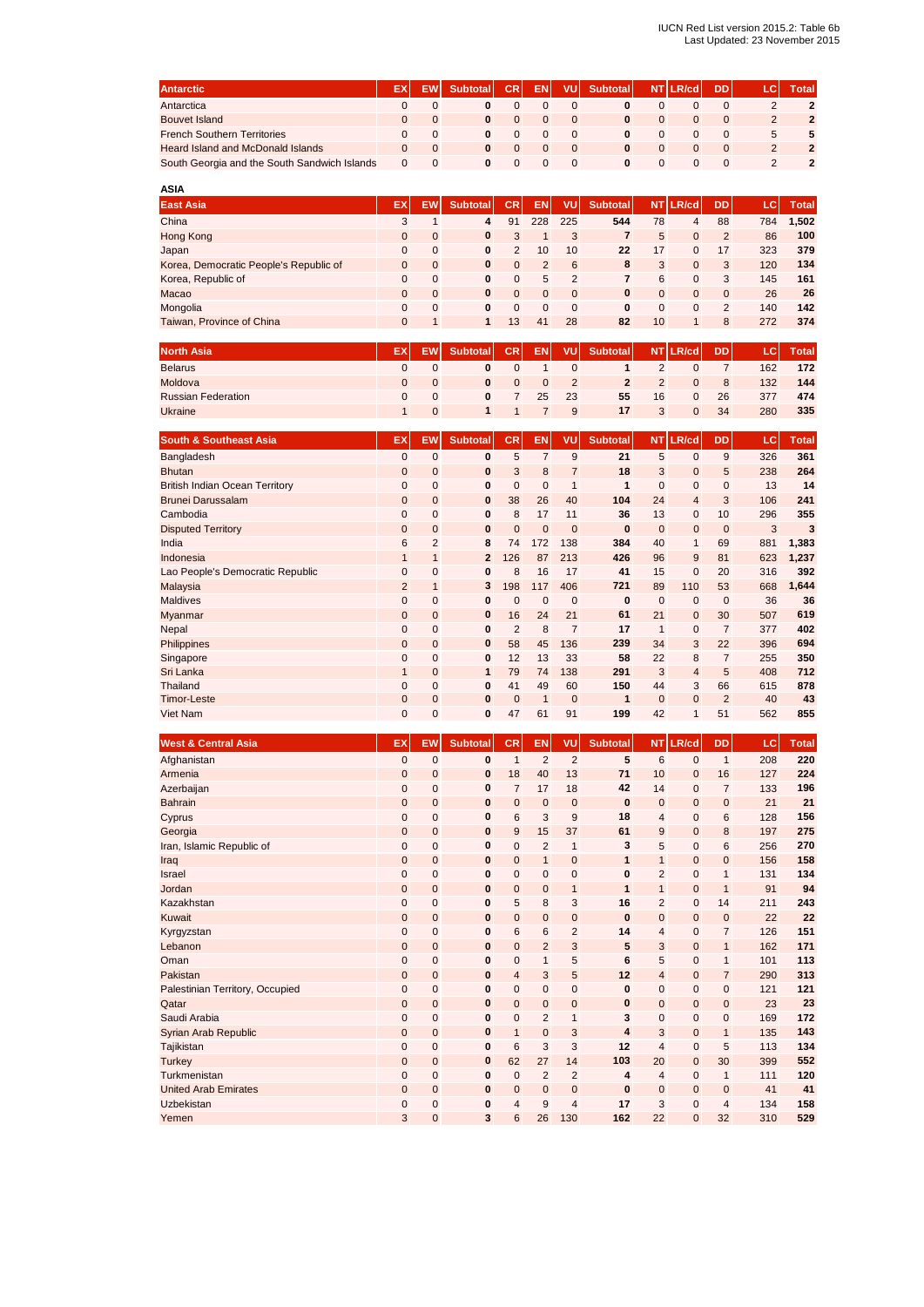| <b>Antarctic</b>                             |  | <b>Subtotal</b> | <b>CRI</b> | EN. | VUI      | <b>Subtotal</b> |          | NT LR/cd | <b>DD</b> | <b>Total</b> |
|----------------------------------------------|--|-----------------|------------|-----|----------|-----------------|----------|----------|-----------|--------------|
| Antarctica                                   |  |                 |            |     |          |                 |          |          |           |              |
| <b>Bouvet Island</b>                         |  |                 |            |     |          |                 |          |          |           |              |
| <b>French Southern Territories</b>           |  |                 |            |     |          |                 |          |          |           |              |
| <b>Heard Island and McDonald Islands</b>     |  |                 |            |     | $\Omega$ |                 |          |          |           |              |
| South Georgia and the South Sandwich Islands |  |                 |            |     |          |                 | $\Omega$ |          |           |              |

| <b>ASIA</b>                            |    |              |                 |                |          |               |                 |           |              |                |     |              |
|----------------------------------------|----|--------------|-----------------|----------------|----------|---------------|-----------------|-----------|--------------|----------------|-----|--------------|
| <b>East Asia</b>                       | EX | EW           | <b>Subtotal</b> | <b>CR</b>      | EN       | VU.           | <b>Subtotal</b> | <b>NT</b> | LR/cd        | <b>DD</b>      | LC  | <b>Total</b> |
| China                                  | 3  |              | 4               | 91             | 228      | 225           | 544             | 78        | 4            | 88             | 784 | 1,502        |
| Hong Kong                              | 0  | $\Omega$     | 0               | 3              |          | 3             | 7               | 5         | 0            | $\overline{2}$ | 86  | 100          |
| Japan                                  | 0  | $\Omega$     | 0               | $\overline{2}$ | 10       | 10            | 22              | 17        | 0            | 17             | 323 | 379          |
| Korea, Democratic People's Republic of | 0  | $\mathbf{0}$ | 0               | $\mathbf{0}$   | 2        | 6             | 8               | 3         | $\mathbf{0}$ | 3              | 120 | 134          |
| Korea, Republic of                     | 0  | $\Omega$     | 0               | 0              | 5        | $\mathcal{P}$ |                 | 6         | 0            | 3              | 145 | 161          |
| Macao                                  | 0  | $\mathbf{0}$ | 0               | $\mathbf{0}$   | $\Omega$ | $\mathbf{0}$  | 0               | $\Omega$  | $\mathbf{0}$ | $\mathbf{0}$   | 26  | 26           |
| Mongolia                               | 0  | $\Omega$     | 0               | 0              | 0        | $\Omega$      | 0               | $\Omega$  | 0            | 2              | 140 | 142          |
| Taiwan, Province of China              | 0  |              |                 | 13             | 41       | 28            | 82              | 10        | $\mathbf{1}$ | 8              | 272 | 374          |

| <b>North Asia</b>         | EX | <b>Subtotal</b> | CR. | <b>EN</b> | VUI | <b>Subtotal</b> |    | NT LR/cd | <b>DD</b> |     | <b>Total</b> |
|---------------------------|----|-----------------|-----|-----------|-----|-----------------|----|----------|-----------|-----|--------------|
| <b>Belarus</b>            |    |                 |     |           |     |                 |    |          |           | 162 | 172          |
| Moldova                   |    |                 |     |           |     |                 |    |          | 8         | 132 | 144          |
| <b>Russian Federation</b> |    |                 |     | 25        | 23  | 55              | 16 |          | 26        | 377 | 474          |
| <b>Ukraine</b>            |    |                 |     |           | a   | 17              |    |          | 34        | 280 | 335          |

| <b>South &amp; Southeast Asia</b>     | EX             | <b>EW</b>    | <b>Subtotal</b> | CR.            | EN             | VU             | <b>Subtotal</b> | <b>NT</b>    | LR/cd          | <b>DD</b>      | LC. | <b>Total</b> |
|---------------------------------------|----------------|--------------|-----------------|----------------|----------------|----------------|-----------------|--------------|----------------|----------------|-----|--------------|
| Bangladesh                            | $\mathbf{0}$   | $\mathbf 0$  | $\bf{0}$        | 5              | $\overline{7}$ | 9              | 21              | 5            | $\mathbf{0}$   | 9              | 326 | 361          |
| <b>Bhutan</b>                         | $\mathbf{0}$   | $\mathbf{0}$ | $\bf{0}$        | 3              | 8              | $\overline{7}$ | 18              | 3            | $\mathbf{0}$   | 5              | 238 | 264          |
| <b>British Indian Ocean Territory</b> | $\mathbf{0}$   | $\mathbf 0$  | $\bf{0}$        | 0              | $\mathbf 0$    | 1              | 1               | 0            | $\mathbf{0}$   | 0              | 13  | 14           |
| <b>Brunei Darussalam</b>              | $\mathbf{0}$   | $\mathbf{0}$ | $\bf{0}$        | 38             | 26             | 40             | 104             | 24           | $\overline{4}$ | 3              | 106 | 241          |
| Cambodia                              | $\mathbf{0}$   | $\mathbf{0}$ | $\bf{0}$        | 8              | 17             | 11             | 36              | 13           | $\mathbf{0}$   | 10             | 296 | 355          |
| <b>Disputed Territory</b>             | $\mathbf{0}$   | $\mathbf{0}$ | $\bf{0}$        | $\mathbf{0}$   | $\mathbf{0}$   | $\mathbf{0}$   | $\bf{0}$        | $\mathbf{0}$ | $\mathbf{0}$   | $\mathbf{0}$   | 3   | 3            |
| India                                 | 6              | 2            | 8               | 74             | 172            | 138            | 384             | 40           | $\mathbf{1}$   | 69             | 881 | 1,383        |
| Indonesia                             | $\mathbf{1}$   | $\mathbf{1}$ | $\mathbf{2}$    | 126            | 87             | 213            | 426             | 96           | 9              | 81             | 623 | 1,237        |
| Lao People's Democratic Republic      | $\mathbf{0}$   | $\mathbf 0$  | 0               | 8              | 16             | 17             | 41              | 15           | $\mathbf{0}$   | 20             | 316 | 392          |
| Malaysia                              | $\overline{2}$ | $\mathbf{1}$ | 3               | 198            | 117            | 406            | 721             | 89           | 110            | 53             | 668 | 1,644        |
| <b>Maldives</b>                       | $\mathbf{0}$   | $\mathbf{0}$ | 0               | $\mathbf 0$    | $\mathbf{0}$   | $\mathbf{0}$   | 0               | 0            | $\mathbf{0}$   | $\mathbf 0$    | 36  | 36           |
| <b>Myanmar</b>                        | $\mathbf{0}$   | $\mathbf{0}$ | $\bf{0}$        | 16             | 24             | 21             | 61              | 21           | $\mathbf{0}$   | 30             | 507 | 619          |
| Nepal                                 | $\mathbf{0}$   | $\mathbf{0}$ | $\bf{0}$        | $\overline{2}$ | 8              | $\overline{7}$ | 17              | 1            | $\mathbf{0}$   | 7              | 377 | 402          |
| Philippines                           | $\mathbf{0}$   | $\mathbf{0}$ | $\bf{0}$        | 58             | 45             | 136            | 239             | 34           | 3              | 22             | 396 | 694          |
| Singapore                             | $\mathbf{0}$   | $\mathbf{0}$ | $\bf{0}$        | 12             | 13             | 33             | 58              | 22           | 8              | $\overline{7}$ | 255 | 350          |
| Sri Lanka                             | $\mathbf{1}$   | $\mathbf{0}$ | $\mathbf{1}$    | 79             | 74             | 138            | 291             | 3            | $\overline{4}$ | 5              | 408 | 712          |
| Thailand                              | $\mathbf{0}$   | $\mathbf{0}$ | $\bf{0}$        | 41             | 49             | 60             | 150             | 44           | 3              | 66             | 615 | 878          |
| <b>Timor-Leste</b>                    | $\mathbf{0}$   | $\mathbf{0}$ | $\bf{0}$        | $\mathbf{0}$   | 1              | $\mathbf{0}$   | 1               | $\Omega$     | $\mathbf{0}$   | $\overline{2}$ | 40  | 43           |
| Viet Nam                              | 0              | $\mathbf{0}$ | 0               | 47             | 61             | 91             | 199             | 42           | $\mathbf{1}$   | 51             | 562 | 855          |

| <b>West &amp; Central Asia</b>  | EX             | EW           | <b>Subtotal</b> | <b>CR</b>      | <b>EN</b>      | VU             | <b>Subtotal</b> |                         | <b>NT LR/cd</b> | <b>DD</b>      | LC. | <b>Total</b> |
|---------------------------------|----------------|--------------|-----------------|----------------|----------------|----------------|-----------------|-------------------------|-----------------|----------------|-----|--------------|
| Afghanistan                     | $\mathbf{0}$   | $\mathbf{0}$ | $\bf{0}$        | $\mathbf{1}$   | $\overline{2}$ | $\overline{2}$ | 5               | 6                       | $\mathbf{0}$    | $\mathbf{1}$   | 208 | 220          |
| Armenia                         | $\mathbf{0}$   | $\mathbf 0$  | $\bf{0}$        | 18             | 40             | 13             | 71              | 10                      | $\mathbf{0}$    | 16             | 127 | 224          |
| Azerbaijan                      | 0              | $\mathbf 0$  | 0               | $\overline{7}$ | 17             | 18             | 42              | 14                      | $\mathbf{0}$    | $\overline{7}$ | 133 | 196          |
| <b>Bahrain</b>                  | $\mathbf{0}$   | $\mathbf{0}$ | $\bf{0}$        | $\mathbf 0$    | $\mathbf{0}$   | $\mathbf{0}$   | $\bf{0}$        | $\mathbf{0}$            | $\mathbf{0}$    | $\mathbf 0$    | 21  | 21           |
| Cyprus                          | 0              | $\mathbf 0$  | $\bf{0}$        | 6              | 3              | 9              | 18              | 4                       | $\mathbf{0}$    | 6              | 128 | 156          |
| Georgia                         | $\mathbf{0}$   | $\mathbf 0$  | $\pmb{0}$       | 9              | 15             | 37             | 61              | 9                       | $\mathbf{0}$    | 8              | 197 | 275          |
| Iran, Islamic Republic of       | 0              | $\mathbf 0$  | $\bf{0}$        | $\mathbf 0$    | $\overline{2}$ | $\mathbf{1}$   | 3               | 5                       | $\mathbf{0}$    | 6              | 256 | 270          |
| Iraq                            | 0              | $\mathbf{0}$ | $\bf{0}$        | $\mathbf 0$    | $\mathbf{1}$   | $\mathbf{0}$   | $\mathbf{1}$    | $\mathbf{1}$            | $\mathbf{0}$    | $\mathbf 0$    | 156 | 158          |
| <b>Israel</b>                   | $\mathbf{0}$   | $\mathbf 0$  | $\bf{0}$        | $\mathbf 0$    | 0              | 0              | 0               | $\overline{2}$          | 0               | $\mathbf{1}$   | 131 | 134          |
| Jordan                          | $\mathbf{0}$   | $\mathbf{0}$ | $\bf{0}$        | $\mathbf{0}$   | $\mathbf{0}$   | $\mathbf{1}$   | $\mathbf{1}$    | $\mathbf{1}$            | $\overline{0}$  | $\overline{1}$ | 91  | 94           |
| Kazakhstan                      | $\mathbf{0}$   | $\mathbf 0$  | $\bf{0}$        | 5              | 8              | 3              | 16              | $\overline{2}$          | $\mathbf{0}$    | 14             | 211 | 243          |
| Kuwait                          | $\mathbf{0}$   | $\mathbf{0}$ | 0               | $\mathbf 0$    | $\mathbf 0$    | 0              | $\bf{0}$        | $\mathbf{0}$            | $\mathbf{0}$    | 0              | 22  | 22           |
| Kyrgyzstan                      | 0              | $\mathbf 0$  | $\bf{0}$        | 6              | 6              | $\overline{2}$ | 14              | $\overline{\mathbf{4}}$ | $\mathbf{0}$    | $\overline{7}$ | 126 | 151          |
| Lebanon                         | $\mathbf{0}$   | $\mathbf{0}$ | $\bf{0}$        | $\overline{0}$ | $\overline{2}$ | 3              | 5               | 3                       | $\mathbf{0}$    | $\mathbf{1}$   | 162 | 171          |
| Oman                            | 0              | $\mathbf 0$  | $\bf{0}$        | 0              | $\mathbf{1}$   | 5              | 6               | 5                       | $\mathbf{0}$    | 1              | 101 | 113          |
| Pakistan                        | 0              | $\mathbf 0$  | 0               | 4              | 3              | 5              | 12              | 4                       | 0               | 7              | 290 | 313          |
| Palestinian Territory, Occupied | 0              | $\mathbf 0$  | $\bf{0}$        | $\mathbf 0$    | $\mathbf{0}$   | 0              | 0               | $\mathbf{0}$            | $\mathbf{0}$    | $\mathbf{0}$   | 121 | 121          |
| Qatar                           | $\mathbf{0}$   | $\mathbf{0}$ | $\bf{0}$        | $\mathbf 0$    | $\mathbf{0}$   | $\mathbf{0}$   | $\bf{0}$        | $\mathbf{0}$            | $\mathbf{0}$    | $\mathbf 0$    | 23  | 23           |
| Saudi Arabia                    | 0              | $\mathbf 0$  | 0               | $\mathbf 0$    | $\overline{2}$ | 1              | 3               | $\mathbf 0$             | 0               | 0              | 169 | 172          |
| Syrian Arab Republic            | $\mathbf{0}$   | $\mathbf{0}$ | $\bf{0}$        | $\mathbf{1}$   | $\mathbf 0$    | 3              | 4               | 3                       | $\mathbf{0}$    | $\mathbf{1}$   | 135 | 143          |
| Tajikistan                      | $\mathbf{0}$   | $\mathbf{0}$ | 0               | 6              | 3              | 3              | 12              | 4                       | $\mathbf{0}$    | 5              | 113 | 134          |
| <b>Turkey</b>                   | $\mathbf{0}$   | $\mathbf{0}$ | $\bf{0}$        | 62             | 27             | 14             | 103             | 20                      | $\mathbf 0$     | 30             | 399 | 552          |
| Turkmenistan                    | 0              | $\mathbf{0}$ | $\bf{0}$        | $\mathbf 0$    | $\overline{2}$ | $\overline{2}$ | 4               | 4                       | $\mathbf{0}$    | $\mathbf{1}$   | 111 | 120          |
| <b>United Arab Emirates</b>     | $\overline{0}$ | $\mathbf 0$  | $\bf{0}$        | $\mathbf 0$    | 0              | 0              | $\bf{0}$        | $\mathbf{0}$            | $\mathbf{0}$    | 0              | 41  | 41           |
| Uzbekistan                      | 0              | $\mathbf 0$  | 0               | 4              | 9              | $\overline{4}$ | 17              | 3                       | $\mathbf{0}$    | 4              | 134 | 158          |
| Yemen                           | 3              | $\mathbf{0}$ | 3               | 6              | 26             | 130            | 162             | 22                      | $\mathbf{0}$    | 32             | 310 | 529          |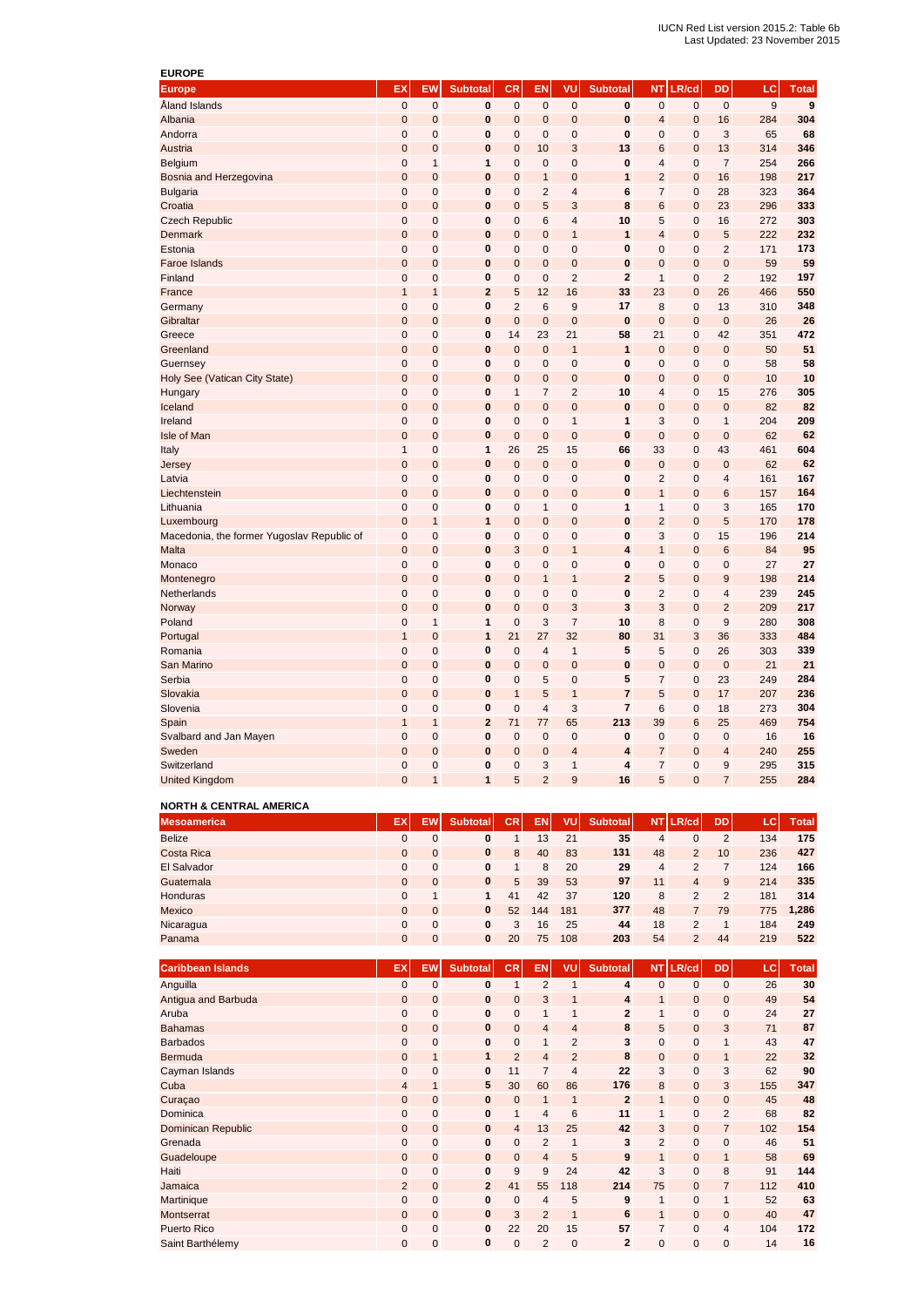| <b>EUROPE</b>                              |                |                |                         |                |                |                         |                         |                         |                |                         |                  |              |
|--------------------------------------------|----------------|----------------|-------------------------|----------------|----------------|-------------------------|-------------------------|-------------------------|----------------|-------------------------|------------------|--------------|
| <b>Europe</b>                              | EX             | EW             | <b>Subtotal</b>         | <b>CR</b>      | <b>EN</b>      | VU                      | <b>Subtotal</b>         | <b>NT</b>               | LR/cd          | <b>DD</b>               | LC               | <b>Total</b> |
| Åland Islands                              | $\pmb{0}$      | $\pmb{0}$      | 0                       | 0              | $\pmb{0}$      | $\pmb{0}$               | 0                       | $\mathbf 0$             | $\mathbf 0$    | 0                       | $\boldsymbol{9}$ | 9            |
| Albania                                    | $\overline{0}$ | $\overline{0}$ | 0                       | $\mathbf 0$    | $\mathbf{0}$   | 0                       | $\mathbf{0}$            | $\overline{4}$          | $\overline{0}$ | 16                      | 284              | 304          |
| Andorra                                    | 0              | $\mathbf 0$    | 0                       | $\overline{0}$ | $\mathbf{0}$   | $\mathbf 0$             | $\bf{0}$                | $\mathbf 0$             | $\mathbf 0$    | 3                       | 65               | 68           |
| Austria                                    | $\overline{0}$ | $\mathbf{0}$   | 0                       | $\overline{0}$ | 10             | 3                       | 13                      | 6                       | $\overline{0}$ | 13                      | 314              | 346          |
| Belgium                                    | $\overline{0}$ | $\mathbf{1}$   | 1                       | $\overline{0}$ | 0              | $\mathbf 0$             | 0                       | $\overline{4}$          | $\mathbf 0$    | $\overline{7}$          | 254              | 266          |
| Bosnia and Herzegovina                     | $\overline{0}$ | $\overline{0}$ | $\mathbf{0}$            | $\overline{0}$ | $\overline{1}$ | $\overline{0}$          | $\mathbf{1}$            | $\overline{2}$          | $\overline{0}$ | 16                      | 198              | 217          |
| <b>Bulgaria</b>                            | $\overline{0}$ | $\mathbf 0$    | 0                       | $\overline{0}$ | $\overline{2}$ | $\overline{4}$          | 6                       | $\overline{7}$          | $\mathbf 0$    | 28                      | 323              | 364          |
| Croatia                                    | $\mathbf 0$    | $\mathbf 0$    | 0                       | $\mathbf 0$    | 5              | 3                       | 8                       | 6                       | $\mathbf 0$    | 23                      | 296              | 333          |
| <b>Czech Republic</b>                      | 0              | $\mathbf 0$    | 0                       | $\mathbf 0$    | 6              | 4                       | 10                      | 5                       | $\mathbf 0$    | 16                      | 272              | 303          |
| Denmark                                    | $\mathbf 0$    | $\mathbf 0$    | $\mathbf{0}$            | $\mathbf 0$    | $\mathbf 0$    | $\overline{1}$          | $\mathbf{1}$            | $\overline{\mathbf{4}}$ | $\mathbf 0$    | 5                       | 222              | 232          |
| Estonia                                    | 0              | $\mathbf 0$    | 0                       | 0              | $\mathbf 0$    | $\pmb{0}$               | $\bf{0}$                | $\mathbf 0$             | $\mathbf 0$    | $\overline{2}$          | 171              | 173          |
| <b>Faroe Islands</b>                       | $\mathbf 0$    | $\mathbf 0$    | $\mathbf{0}$            | $\overline{0}$ | $\mathbf 0$    | $\mathbf 0$             | $\mathbf{0}$            | $\mathbf{0}$            | $\mathbf{0}$   | $\mathbf 0$             | 59               | 59           |
| Finland                                    | 0              | $\mathbf 0$    | 0                       | $\overline{0}$ | $\mathbf 0$    | $\overline{2}$          | $\mathbf{2}$            | $\mathbf{1}$            | $\mathbf 0$    | $\overline{2}$          | 192              | 197          |
| France                                     | $\mathbf{1}$   | $\mathbf{1}$   | $\overline{2}$          | 5              | 12             | 16                      | 33                      | 23                      | $\mathbf 0$    | 26                      | 466              | 550          |
| Germany                                    | 0              | $\mathbf 0$    | 0                       | $\overline{2}$ | 6              | 9                       | 17                      | 8                       | $\mathbf 0$    | 13                      | 310              | 348          |
| Gibraltar                                  | $\pmb{0}$      | $\pmb{0}$      | 0                       | $\mathbf{0}$   | $\pmb{0}$      | $\pmb{0}$               | 0                       | $\mathbf{0}$            | $\mathbf 0$    | $\pmb{0}$               | 26               | 26           |
| Greece                                     | 0              | $\pmb{0}$      | 0                       | 14             | 23             | 21                      | 58                      | 21                      | $\mathbf 0$    | 42                      | 351              | 472          |
| Greenland                                  | $\pmb{0}$      | $\mathbf 0$    | 0                       | $\mathbf{0}$   | $\pmb{0}$      | $\mathbf{1}$            | 1                       | $\mathbf{0}$            | $\mathbf 0$    | $\mathbf 0$             | 50               | 51           |
| Guernsey                                   | 0              | 0              | 0                       | $\mathbf 0$    | 0              | 0                       | 0                       | $\mathbf 0$             | 0              | 0                       | 58               | 58           |
| Holy See (Vatican City State)              | $\mathbf 0$    | $\mathbf 0$    | $\mathbf{0}$            | $\overline{0}$ | $\mathbf 0$    | $\mathbf 0$             | $\bf{0}$                | $\mathbf{0}$            | $\mathbf{0}$   | 0                       | 10               | 10           |
| Hungary                                    | $\overline{0}$ | $\mathbf 0$    | 0                       | $\mathbf{1}$   | $\overline{7}$ | $\overline{2}$          | 10                      | $\overline{4}$          | $\mathbf 0$    | 15                      | 276              | 305          |
| Iceland                                    | $\mathbf 0$    | $\overline{0}$ | $\mathbf{0}$            | $\mathbf 0$    | $\mathbf 0$    | $\mathbf 0$             | $\bf{0}$                | $\mathbf{0}$            | $\mathbf{0}$   | $\mathbf 0$             | 82               | 82           |
| Ireland                                    | $\overline{0}$ | $\mathbf 0$    | 0                       | 0              | $\mathbf{0}$   | $\mathbf{1}$            | $\mathbf{1}$            | 3                       | $\mathbf 0$    | $\mathbf{1}$            | 204              | 209          |
| Isle of Man                                | $\mathbf 0$    | $\mathbf 0$    | $\bf{0}$                | $\mathbf 0$    | $\mathbf 0$    | $\mathbf 0$             | $\pmb{0}$               | $\mathbf 0$             | $\mathbf{0}$   | $\mathbf 0$             | 62               | 62           |
| Italy                                      | $\mathbf{1}$   | $\mathbf 0$    | 1                       | 26             | 25             | 15                      | 66                      | 33                      | $\mathbf 0$    | 43                      | 461              | 604          |
| Jersey                                     | $\mathbf 0$    | $\mathbf 0$    | 0                       | $\mathbf 0$    | $\mathbf 0$    | $\mathbf 0$             | 0                       | $\mathbf{0}$            | $\mathbf{0}$   | $\mathbf 0$             | 62               | 62           |
| Latvia                                     | 0              | $\mathbf 0$    | 0                       | $\mathbf 0$    | $\mathbf 0$    | $\pmb{0}$               | 0                       | $\overline{2}$          | $\mathbf 0$    | 4                       | 161              | 167          |
| Liechtenstein                              | $\pmb{0}$      | $\pmb{0}$      | 0                       | $\mathbf 0$    | $\mathbf 0$    | $\pmb{0}$               | 0                       | 1                       | $\mathbf{0}$   | 6                       | 157              | 164          |
| Lithuania                                  | $\overline{0}$ | $\mathbf 0$    | 0                       | $\overline{0}$ | $\mathbf{1}$   | $\mathbf 0$             | 1                       | $\mathbf{1}$            | $\mathbf 0$    | 3                       | 165              | 170          |
| Luxembourg                                 | $\mathbf 0$    | $\mathbf{1}$   | 1                       | $\mathbf 0$    | $\mathbf 0$    | 0                       | $\bf{0}$                | $\overline{2}$          | $\mathbf 0$    | 5                       | 170              | 178          |
| Macedonia, the former Yugoslav Republic of | 0              | $\mathbf 0$    | 0                       | 0              | $\mathbf 0$    | 0                       | $\bf{0}$                | 3                       | $\mathbf 0$    | 15                      | 196              | 214          |
| Malta                                      | 0              | $\mathbf 0$    | 0                       | 3              | 0              | $\mathbf{1}$            | 4                       | 1                       | $\mathbf 0$    | 6                       | 84               | 95           |
| Monaco                                     | $\overline{0}$ | $\mathbf 0$    | 0                       | $\overline{0}$ | $\mathbf 0$    | 0                       | $\bf{0}$                | $\mathbf 0$             | $\mathbf 0$    | $\mathbf 0$             | 27               | 27           |
| Montenegro                                 | $\mathbf 0$    | $\mathbf 0$    | 0                       | $\mathbf 0$    | $\mathbf{1}$   | $\mathbf{1}$            | $\mathbf{2}$            | 5                       | $\mathbf{0}$   | 9                       | 198              | 214          |
| Netherlands                                | 0              | $\mathbf 0$    | 0                       | $\mathbf 0$    | $\mathbf 0$    | 0                       | $\mathbf{0}$            | $\overline{2}$          | $\mathbf 0$    | $\overline{4}$          | 239              | 245          |
| Norway                                     | $\mathbf 0$    | $\mathbf 0$    | 0                       | $\mathbf 0$    | $\mathbf 0$    | 3                       | 3                       | 3                       | $\mathbf{0}$   | $\overline{2}$          | 209              | 217          |
| Poland                                     | $\overline{0}$ | $\mathbf{1}$   | $\mathbf{1}$            | $\mathbf 0$    | 3              | $\overline{7}$          | 10                      | 8                       | $\mathbf 0$    | 9                       | 280              | 308          |
| Portugal                                   | $\mathbf{1}$   | $\overline{0}$ | $\mathbf{1}$            | 21             | 27             | 32                      | 80                      | 31                      | 3              | 36                      | 333              | 484          |
| Romania                                    | $\overline{0}$ | $\mathbf 0$    | 0                       | $\overline{0}$ | $\overline{4}$ | $\mathbf{1}$            | 5                       | 5                       | $\mathbf 0$    | 26                      | 303              | 339          |
| San Marino                                 | $\overline{0}$ | $\overline{0}$ | $\bf{0}$                | $\overline{0}$ | $\mathbf 0$    | $\mathbf{0}$            | $\bf{0}$                | $\mathbf 0$             | $\overline{0}$ | $\mathbf{0}$            | 21               | 21           |
| Serbia                                     | $\overline{0}$ | $\mathbf 0$    | 0                       | $\overline{0}$ | 5              | $\mathbf 0$             | 5                       | $\overline{7}$          | $\mathbf 0$    | 23                      | 249              | 284          |
| Slovakia                                   | $\mathbf 0$    | $\mathbf 0$    | 0                       | $\mathbf{1}$   | 5              | $\overline{1}$          | $\overline{7}$          | 5                       | $\mathbf 0$    | 17                      | 207              | 236          |
| Slovenia                                   | $\mathbf 0$    | $\mathbf 0$    | 0                       | $\overline{0}$ | $\overline{4}$ | 3                       | $\overline{\mathbf{r}}$ | 6                       | $\mathbf 0$    | 18                      | 273              | 304          |
| Spain                                      | $\mathbf{1}$   | $\mathbf{1}$   | $\overline{\mathbf{c}}$ | 71             | 77             | 65                      | 213                     | 39                      | 6              | 25                      | 469              | 754          |
| Svalbard and Jan Mayen                     | 0              | 0              | 0                       | $\mathbf 0$    | $\mathbf 0$    | $\pmb{0}$               | 0                       | $\mathbf 0$             | $\mathbf 0$    | $\pmb{0}$               | 16               | 16           |
| Sweden                                     | $\mathbf 0$    | $\mathbf 0$    | 0                       | $\mathbf 0$    | $\mathbf 0$    | $\overline{\mathbf{4}}$ | 4                       | 7                       | $\mathbf{0}$   | $\overline{\mathbf{4}}$ | 240              | 255          |
| Switzerland                                | 0              | $\overline{0}$ | 0                       | $\overline{0}$ | 3              | $\mathbf{1}$            | $\overline{\mathbf{4}}$ | $\overline{7}$          | $\mathbf 0$    | 9                       | 295              | 315          |
| <b>United Kingdom</b>                      | $\Omega$       | $\overline{1}$ | $\overline{1}$          | 5              | $\overline{2}$ | 9                       | 16                      | 5                       | $\Omega$       | $\overline{7}$          | 255              | 284          |

## **NORTH & CENTRAL AMERICA**

| <b>Mesoamerica</b> | EX       | EW           | <b>Subtotal</b> | CR | <b>EN</b> | VUI | Subtotal |    | NT LR/cd       | <b>DD</b> | LCI | <b>Total</b> |
|--------------------|----------|--------------|-----------------|----|-----------|-----|----------|----|----------------|-----------|-----|--------------|
| <b>Belize</b>      | 0        |              |                 |    | 13        | 21  | 35       | 4  |                | 2         | 134 | 175          |
| Costa Rica         | $\Omega$ | $\mathbf{0}$ | 0               | 8  | 40        | 83  | 131      | 48 | $\overline{2}$ | 10        | 236 | 427          |
| El Salvador        | 0        | $\mathbf{0}$ |                 |    | 8         | 20  | 29       | 4  | 2              |           | 124 | 166          |
| Guatemala          | 0        | $\mathbf{0}$ | 0               | 5  | 39        | 53  | 97       | 11 | $\overline{4}$ | 9         | 214 | 335          |
| <b>Honduras</b>    | 0        |              |                 | 41 | 42        | 37  | 120      | 8  | 2              | 2         | 181 | 314          |
| <b>Mexico</b>      | 0        | $\Omega$     | 0               | 52 | 144       | 181 | 377      | 48 | $\overline{7}$ | 79        | 775 | 1,286        |
| Nicaragua          | 0        | $\Omega$     | 0               | 3  | 16        | 25  | 44       | 18 | $\mathcal{L}$  |           | 184 | 249          |
| Panama             | $\Omega$ | $\mathbf{0}$ | $\Omega$        | 20 | 75        | 108 | 203      | 54 | $\overline{2}$ | 44        | 219 | 522          |

| <b>Caribbean Islands</b>  | EX             | <b>EW</b>    | <b>Subtotal</b> | <b>CR</b>      | EN             | VU             | <b>Subtotal</b> | <b>NT</b>      | LR/cd        | <b>DD</b>      | LC. | <b>Total</b> |
|---------------------------|----------------|--------------|-----------------|----------------|----------------|----------------|-----------------|----------------|--------------|----------------|-----|--------------|
| Anguilla                  | $\mathbf{0}$   | $\mathbf 0$  | 0               | $\mathbf{1}$   | $\overline{2}$ |                | 4               | $\mathbf{0}$   | $\mathbf{0}$ | $\mathbf{0}$   | 26  | 30           |
| Antigua and Barbuda       | $\mathbf{0}$   | $\mathbf{0}$ | $\bf{0}$        | $\mathbf 0$    | 3              | $\mathbf{1}$   | 4               | $\mathbf{1}$   | $\mathbf{0}$ | $\mathbf 0$    | 49  | 54           |
| Aruba                     | 0              | $\mathbf{0}$ | 0               | $\mathbf 0$    | $\mathbf{1}$   | 1              | $\mathbf{2}$    | $\mathbf{1}$   | $\mathbf{0}$ | $\mathbf 0$    | 24  | 27           |
| <b>Bahamas</b>            | $\mathbf{0}$   | $\mathbf{0}$ | $\bf{0}$        | $\pmb{0}$      | $\overline{4}$ | $\overline{4}$ | 8               | 5              | $\mathbf{0}$ | 3              | 71  | 87           |
| <b>Barbados</b>           | 0              | $\mathbf 0$  | 0               | 0              | $\mathbf{1}$   | $\overline{2}$ | 3               | $\mathbf{0}$   | $\mathbf{0}$ | $\mathbf{1}$   | 43  | 47           |
| Bermuda                   | $\mathbf{0}$   | $\mathbf{1}$ | 1               | $\overline{2}$ | $\overline{4}$ | $\overline{2}$ | 8               | $\mathbf{0}$   | $\mathbf{0}$ | $\mathbf{1}$   | 22  | 32           |
| Cayman Islands            | 0              | $\mathbf{0}$ | 0               | 11             | $\overline{7}$ | $\overline{4}$ | 22              | 3              | $\mathbf{0}$ | 3              | 62  | 90           |
| Cuba                      | $\overline{4}$ |              | 5               | 30             | 60             | 86             | 176             | 8              | $\mathbf{0}$ | 3              | 155 | 347          |
| Curaçao                   | 0              | $\mathbf{0}$ | 0               | $\mathbf 0$    | $\mathbf{1}$   | 1              | $\overline{2}$  | $\mathbf{1}$   | $\mathbf{0}$ | $\mathbf 0$    | 45  | 48           |
| Dominica                  | 0              | $\mathbf{0}$ | 0               | $\mathbf{1}$   | $\overline{4}$ | 6              | 11              | $\mathbf{1}$   | $\mathbf{0}$ | $\overline{2}$ | 68  | 82           |
| <b>Dominican Republic</b> | 0              | $\mathbf{0}$ | $\bf{0}$        | $\overline{4}$ | 13             | 25             | 42              | 3              | $\mathbf{0}$ | $\overline{7}$ | 102 | 154          |
| Grenada                   | 0              | $\mathbf 0$  | 0               | 0              | 2              | $\mathbf{1}$   | 3               | 2              | $\mathbf{0}$ | 0              | 46  | 51           |
| Guadeloupe                | $\overline{0}$ | $\mathbf{0}$ | $\bf{0}$        | $\mathbf{0}$   | $\overline{4}$ | 5              | 9               | $\mathbf{1}$   | $\mathbf{0}$ | $\mathbf{1}$   | 58  | 69           |
| Haiti                     | 0              | $\mathbf 0$  | $\bf{0}$        | 9              | 9              | 24             | 42              | 3              | $\mathbf{0}$ | 8              | 91  | 144          |
| Jamaica                   | $\overline{2}$ | $\mathbf{0}$ | $\overline{2}$  | 41             | 55             | 118            | 214             | 75             | $\mathbf{0}$ | $\overline{7}$ | 112 | 410          |
| Martinique                | 0              | $\mathbf{0}$ | 0               | $\mathbf 0$    | $\overline{4}$ | 5              | 9               | $\mathbf{1}$   | $\mathbf{0}$ | $\mathbf{1}$   | 52  | 63           |
| Montserrat                | 0              | $\mathbf{0}$ | $\bf{0}$        | 3              | $\overline{2}$ | $\mathbf{1}$   | 6               | $\mathbf{1}$   | $\mathbf{0}$ | $\mathbf 0$    | 40  | 47           |
| <b>Puerto Rico</b>        | 0              | $\mathbf 0$  | $\bf{0}$        | 22             | 20             | 15             | 57              | $\overline{7}$ | $\mathbf{0}$ | $\overline{4}$ | 104 | 172          |
| Saint Barthélemy          | 0              | $\mathbf 0$  | 0               | $\mathbf 0$    | 2              | $\mathbf 0$    | $\overline{2}$  | $\mathbf{0}$   | $\mathbf{0}$ | $\mathbf{0}$   | 14  | 16           |